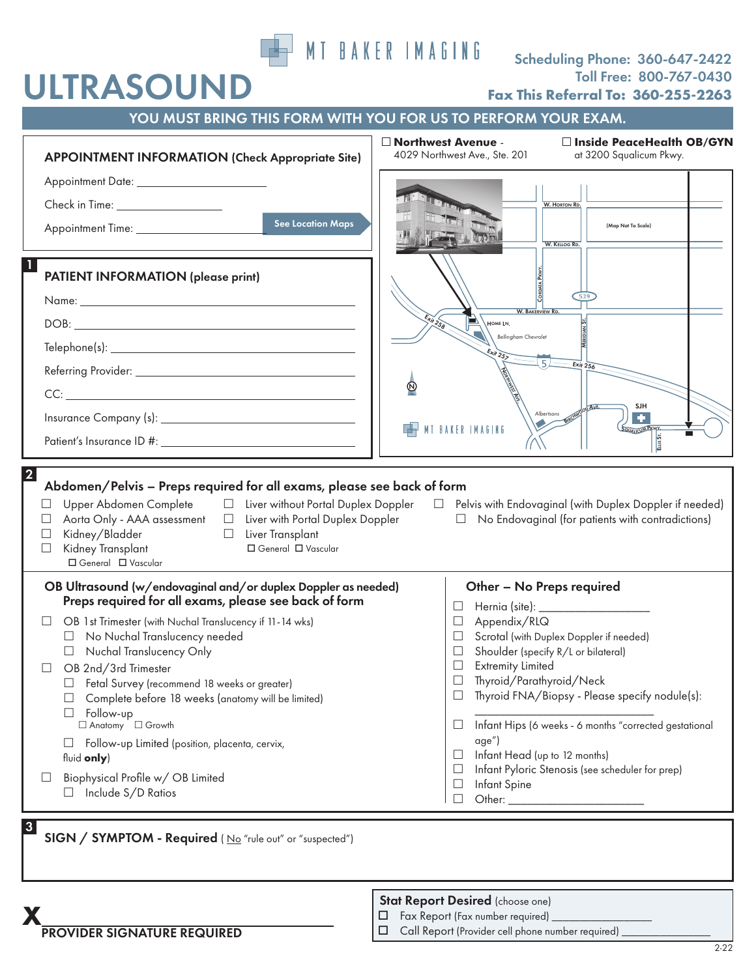

# Scheduling Phone: 360-647-2422 Toll Free: 800-767-0430 **Fax This Referral To: 360-255-2263**

| YOU MUST BRING THIS FORM WITH YOU FOR US TO PERFORM YOUR EXAM.                                                                                                                                                                                                                                                                                                       |                                                                                                                 |
|----------------------------------------------------------------------------------------------------------------------------------------------------------------------------------------------------------------------------------------------------------------------------------------------------------------------------------------------------------------------|-----------------------------------------------------------------------------------------------------------------|
| <b>APPOINTMENT INFORMATION (Check Appropriate Site)</b>                                                                                                                                                                                                                                                                                                              | □ Northwest Avenue -<br>□ Inside PeaceHealth OB/GYN<br>4029 Northwest Ave., Ste. 201<br>at 3200 Squalicum Pkwy. |
|                                                                                                                                                                                                                                                                                                                                                                      |                                                                                                                 |
| Check in Time: ___________________                                                                                                                                                                                                                                                                                                                                   | <b>W. HORTON RD.</b>                                                                                            |
| <b>See Location Maps</b>                                                                                                                                                                                                                                                                                                                                             | (Map Not To Scale)<br><b>W. KELLOG RD.</b>                                                                      |
| <b>PATIENT INFORMATION (please print)</b>                                                                                                                                                                                                                                                                                                                            |                                                                                                                 |
|                                                                                                                                                                                                                                                                                                                                                                      | <b>W. BAKERVIEW R</b>                                                                                           |
|                                                                                                                                                                                                                                                                                                                                                                      | Exit 258<br>HOME LN.                                                                                            |
|                                                                                                                                                                                                                                                                                                                                                                      | <b>Bellingham Chevrolet</b><br>$x_{H}$ <sub>257</sub>                                                           |
|                                                                                                                                                                                                                                                                                                                                                                      | $E_{xit}$ 256                                                                                                   |
|                                                                                                                                                                                                                                                                                                                                                                      | $^\copyright$                                                                                                   |
|                                                                                                                                                                                                                                                                                                                                                                      | SJH<br>Albertsons                                                                                               |
|                                                                                                                                                                                                                                                                                                                                                                      | MT BAKER IMAGING<br>QUALICUM PAYY<br>ELLIS ST.                                                                  |
| $\overline{2}$<br>Abdomen/Pelvis - Preps required for all exams, please see back of form<br>Upper Abdomen Complete $\Box$ Liver without Portal Duplex Doppler $\Box$ Pelvis with Endovaginal (with Duplex Doppler if needed)<br>$\Box$<br>Aorta Only - AAA assessment □ Liver with Portal Duplex Doppler<br>$\Box$ No Endovaginal (for patients with contradictions) |                                                                                                                 |
| Kidney/Bladder<br>□ Liver Transplant<br>$\Box$<br>Kidney Transplant<br>□ General □ Vascular<br>$\Box$<br>□ General □ Vascular                                                                                                                                                                                                                                        |                                                                                                                 |
| OB Ultrasound (w/endovaginal and/or duplex Doppler as needed)                                                                                                                                                                                                                                                                                                        | Other - No Preps required                                                                                       |
| Preps required for all exams, please see back of form                                                                                                                                                                                                                                                                                                                | $\Box$                                                                                                          |
| OB 1st Trimester (with Nuchal Translucency if 11-14 wks)<br>No Nuchal Translucency needed<br>$\Box$                                                                                                                                                                                                                                                                  | Appendix/RLQ<br>$\Box$<br>Scrotal (with Duplex Doppler if needed)<br>ப                                          |
| Nuchal Translucency Only                                                                                                                                                                                                                                                                                                                                             | Shoulder (specify R/L or bilateral)<br>$\Box$                                                                   |
| OB 2nd/3rd Trimester                                                                                                                                                                                                                                                                                                                                                 | <b>Extremity Limited</b><br>Ц                                                                                   |
| Fetal Survey (recommend 18 weeks or greater)<br>Complete before 18 weeks (anatomy will be limited)                                                                                                                                                                                                                                                                   | Thyroid/Parathyroid/Neck<br>$\Box$<br>Thyroid FNA/Biopsy - Please specify nodule(s):<br>$\Box$                  |
| Follow-up<br>$\Box$                                                                                                                                                                                                                                                                                                                                                  |                                                                                                                 |
| □ Anatomy □ Growth                                                                                                                                                                                                                                                                                                                                                   | Infant Hips (6 weeks - 6 months "corrected gestational<br>$\Box$                                                |
| Follow-up Limited (position, placenta, cervix,<br>fluid only)                                                                                                                                                                                                                                                                                                        | age")<br>Infant Head (up to 12 months)<br>$\Box$                                                                |
| Biophysical Profile w/ OB Limited                                                                                                                                                                                                                                                                                                                                    | Infant Pyloric Stenosis (see scheduler for prep)<br>$\Box$                                                      |
| Include S/D Ratios                                                                                                                                                                                                                                                                                                                                                   | Infant Spine<br>$\Box$                                                                                          |
|                                                                                                                                                                                                                                                                                                                                                                      | Other: $\_$<br>$\Box$                                                                                           |

SIGN / SYMPTOM - Required (No "rule out" or "suspected")

Stat Report Desired (choose one)

- $\Box$  Fax Report (Fax number required)
- Call Report (Provider cell phone number required) \_\_\_\_\_\_\_\_\_\_\_\_\_\_\_\_

**PROVIDER SIGNATURE REQUIRED** 

ULTRASOUND

3